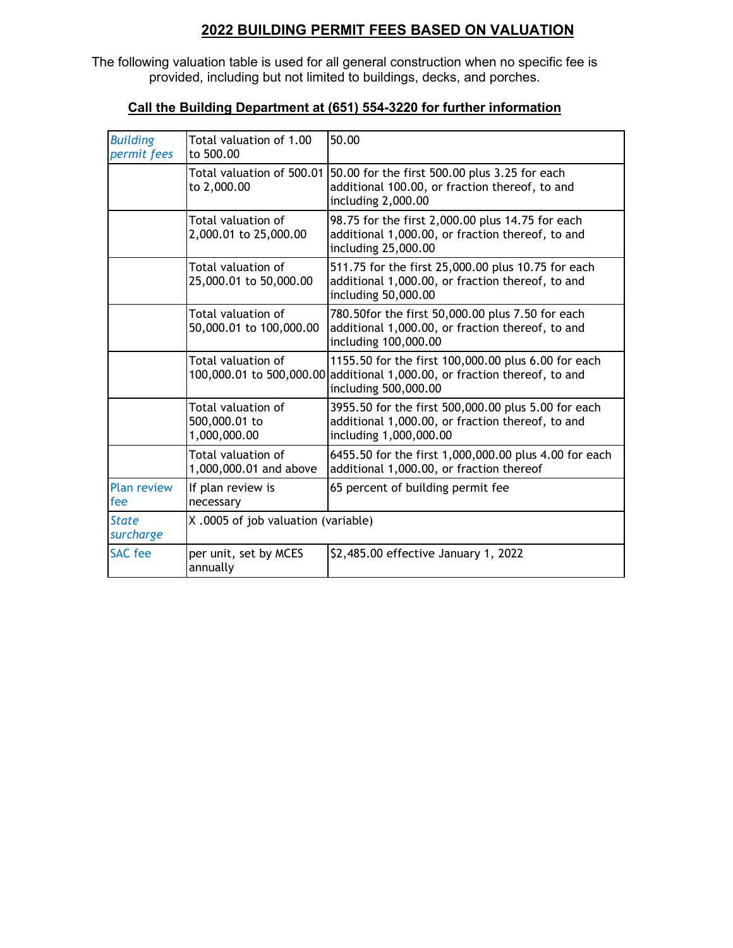## **2022 BUILDING PERMIT FEES BASED ON VALUATION**

The following valuation table is used for all general construction when no specific fee is provided, including but not limited to buildings, decks, and porches.

| <b>Building</b><br>permit fees | Total valuation of 1.00<br>to 500.00                | 50.00                                                                                                                                                    |  |
|--------------------------------|-----------------------------------------------------|----------------------------------------------------------------------------------------------------------------------------------------------------------|--|
|                                | Total valuation of 500.01<br>to 2,000.00            | 50.00 for the first 500.00 plus 3.25 for each<br>additional 100.00, or fraction thereof, to and<br>including 2,000.00                                    |  |
|                                | Total valuation of<br>2,000.01 to 25,000.00         | 98.75 for the first 2,000.00 plus 14.75 for each<br>additional 1,000.00, or fraction thereof, to and<br>including 25,000.00                              |  |
|                                | Total valuation of<br>25,000.01 to 50,000.00        | 511.75 for the first 25,000.00 plus 10.75 for each<br>additional 1,000.00, or fraction thereof, to and<br>including 50,000.00                            |  |
|                                | Total valuation of<br>50,000.01 to 100,000.00       | 780.50for the first 50,000.00 plus 7.50 for each<br>additional 1,000.00, or fraction thereof, to and<br>including 100,000.00                             |  |
|                                | Total valuation of                                  | 1155.50 for the first 100,000.00 plus 6.00 for each<br>100,000.01 to 500,000.00 additional 1,000.00, or fraction thereof, to and<br>including 500,000.00 |  |
|                                | Total valuation of<br>500,000.01 to<br>1,000,000.00 | 3955.50 for the first 500,000.00 plus 5.00 for each<br>additional 1,000.00, or fraction thereof, to and<br>including 1,000,000.00                        |  |
|                                | Total valuation of<br>1,000,000.01 and above        | 6455.50 for the first 1,000,000.00 plus 4.00 for each<br>additional 1,000.00, or fraction thereof                                                        |  |
| <b>Plan review</b><br>fee      | If plan review is<br>necessary                      | 65 percent of building permit fee                                                                                                                        |  |
| <b>State</b><br>surcharge      | X.0005 of job valuation (variable)                  |                                                                                                                                                          |  |
| <b>SAC</b> fee                 | per unit, set by MCES<br>annually                   | \$2,485.00 effective January 1, 2022                                                                                                                     |  |

## **Call the Building Department at (651) 554-3220 for further information**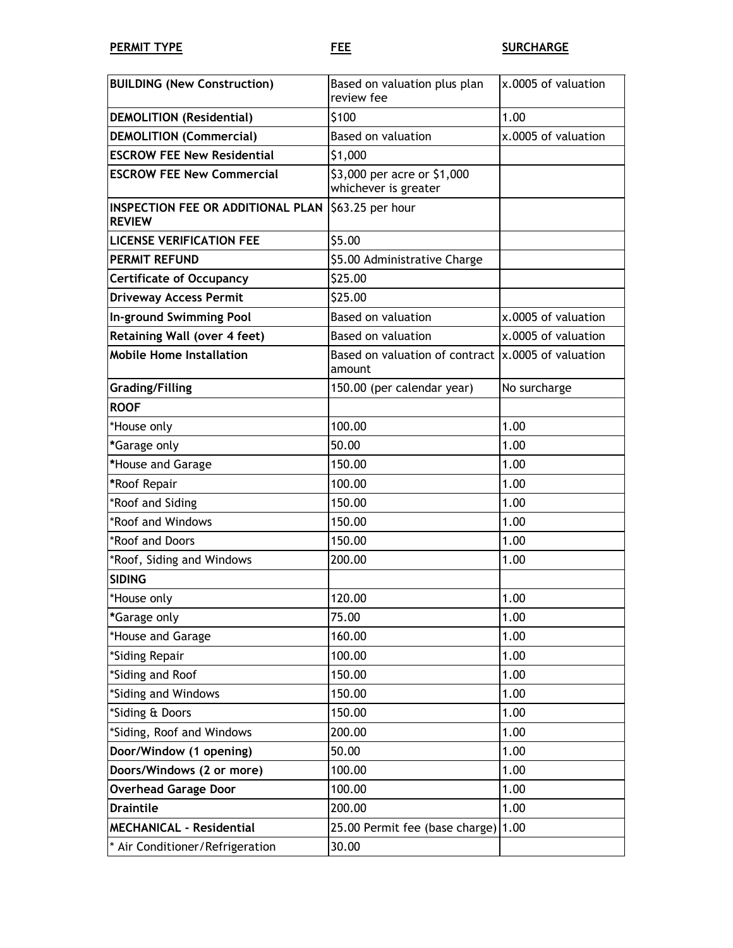| <b>BUILDING (New Construction)</b>                                   | Based on valuation plus plan<br>review fee                    | x.0005 of valuation |
|----------------------------------------------------------------------|---------------------------------------------------------------|---------------------|
| <b>DEMOLITION</b> (Residential)                                      | \$100                                                         | 1.00                |
| <b>DEMOLITION (Commercial)</b>                                       | Based on valuation                                            | x.0005 of valuation |
| <b>ESCROW FEE New Residential</b>                                    | \$1,000                                                       |                     |
| <b>ESCROW FEE New Commercial</b>                                     | \$3,000 per acre or \$1,000<br>whichever is greater           |                     |
| INSPECTION FEE OR ADDITIONAL PLAN \\$63.25 per hour<br><b>REVIEW</b> |                                                               |                     |
| <b>LICENSE VERIFICATION FEE</b>                                      | \$5.00                                                        |                     |
| <b>PERMIT REFUND</b>                                                 | \$5.00 Administrative Charge                                  |                     |
| <b>Certificate of Occupancy</b>                                      | \$25.00                                                       |                     |
| <b>Driveway Access Permit</b>                                        | \$25.00                                                       |                     |
| In-ground Swimming Pool                                              | <b>Based on valuation</b>                                     | x.0005 of valuation |
| <b>Retaining Wall (over 4 feet)</b>                                  | <b>Based on valuation</b>                                     | x.0005 of valuation |
| <b>Mobile Home Installation</b>                                      | Based on valuation of contract  x.0005 of valuation<br>amount |                     |
| <b>Grading/Filling</b>                                               | 150.00 (per calendar year)                                    | No surcharge        |
| <b>ROOF</b>                                                          |                                                               |                     |
| *House only                                                          | 100.00                                                        | 1.00                |
| *Garage only                                                         | 50.00                                                         | 1.00                |
| *House and Garage                                                    | 150.00                                                        | 1.00                |
| *Roof Repair                                                         | 100.00                                                        | 1.00                |
| *Roof and Siding                                                     | 150.00                                                        | 1.00                |
| *Roof and Windows                                                    | 150.00                                                        | 1.00                |
| *Roof and Doors                                                      | 150.00                                                        | 1.00                |
| *Roof, Siding and Windows                                            | 200.00                                                        | 1.00                |
| <b>SIDING</b>                                                        |                                                               |                     |
| *House only                                                          | 120.00                                                        | 1.00                |
| *Garage only                                                         | 75.00                                                         | 1.00                |
| *House and Garage                                                    | 160.00                                                        | 1.00                |
| *Siding Repair                                                       | 100.00                                                        | 1.00                |
| *Siding and Roof                                                     | 150.00                                                        | 1.00                |
| *Siding and Windows                                                  | 150.00                                                        | 1.00                |
| *Siding & Doors                                                      | 150.00                                                        | 1.00                |
| *Siding, Roof and Windows                                            | 200.00                                                        | 1.00                |
| Door/Window (1 opening)                                              | 50.00                                                         | 1.00                |
| Doors/Windows (2 or more)                                            | 100.00                                                        | 1.00                |
| <b>Overhead Garage Door</b>                                          | 100.00                                                        | 1.00                |
| <b>Draintile</b>                                                     | 200.00                                                        | 1.00                |
| <b>MECHANICAL - Residential</b>                                      | 25.00 Permit fee (base charge) $ 1.00$                        |                     |
| * Air Conditioner/Refrigeration                                      | 30.00                                                         |                     |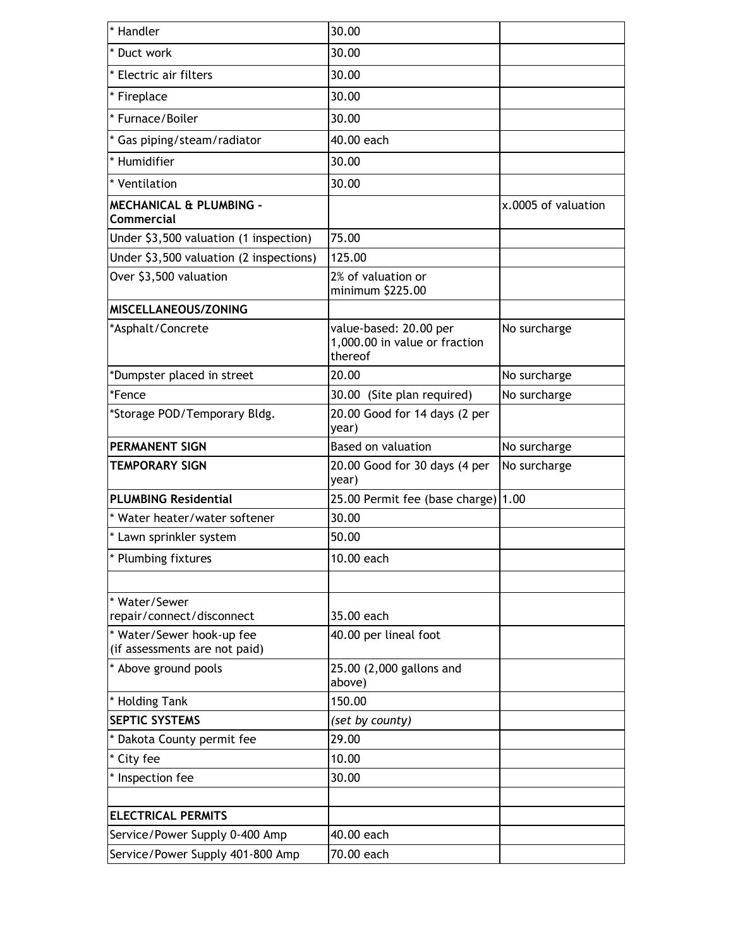| * Handler                                                  | 30.00                                                              |                     |
|------------------------------------------------------------|--------------------------------------------------------------------|---------------------|
| * Duct work                                                | 30.00                                                              |                     |
| * Electric air filters                                     | 30.00                                                              |                     |
| * Fireplace                                                | 30.00                                                              |                     |
| * Furnace/Boiler                                           | 30.00                                                              |                     |
| * Gas piping/steam/radiator                                | 40.00 each                                                         |                     |
| * Humidifier                                               | 30.00                                                              |                     |
| * Ventilation                                              | 30.00                                                              |                     |
| <b>MECHANICAL &amp; PLUMBING -</b><br><b>Commercial</b>    |                                                                    | x.0005 of valuation |
| Under \$3,500 valuation (1 inspection)                     | 75.00                                                              |                     |
| Under \$3,500 valuation (2 inspections)                    | 125.00                                                             |                     |
| Over \$3,500 valuation                                     | 2% of valuation or<br>minimum \$225.00                             |                     |
| MISCELLANEOUS/ZONING                                       |                                                                    |                     |
| *Asphalt/Concrete                                          | value-based: 20.00 per<br>1,000.00 in value or fraction<br>thereof | No surcharge        |
| *Dumpster placed in street                                 | 20.00                                                              | No surcharge        |
| *Fence                                                     | 30.00 (Site plan required)                                         | No surcharge        |
| *Storage POD/Temporary Bldg.                               | 20.00 Good for 14 days (2 per<br>year)                             |                     |
| <b>PERMANENT SIGN</b>                                      | <b>Based on valuation</b>                                          | No surcharge        |
| <b>TEMPORARY SIGN</b>                                      | 20.00 Good for 30 days (4 per<br>year)                             | No surcharge        |
| <b>PLUMBING Residential</b>                                | 25.00 Permit fee (base charge)                                     | 1.00                |
| * Water heater/water softener                              | 30.00                                                              |                     |
| * Lawn sprinkler system                                    | 50.00                                                              |                     |
| * Plumbing fixtures                                        | 10.00 each                                                         |                     |
|                                                            |                                                                    |                     |
| * Water/Sewer<br>repair/connect/disconnect                 | 35.00 each                                                         |                     |
| * Water/Sewer hook-up fee<br>(if assessments are not paid) | 40.00 per lineal foot                                              |                     |
| * Above ground pools                                       | 25.00 (2,000 gallons and<br>above)                                 |                     |
| * Holding Tank                                             | 150.00                                                             |                     |
| <b>SEPTIC SYSTEMS</b>                                      | (set by county)                                                    |                     |
| * Dakota County permit fee                                 | 29.00                                                              |                     |
| * City fee                                                 | 10.00                                                              |                     |
| * Inspection fee                                           | 30.00                                                              |                     |
|                                                            |                                                                    |                     |
| <b>ELECTRICAL PERMITS</b>                                  |                                                                    |                     |
| Service/Power Supply 0-400 Amp                             | 40.00 each                                                         |                     |
| Service/Power Supply 401-800 Amp                           | 70.00 each                                                         |                     |